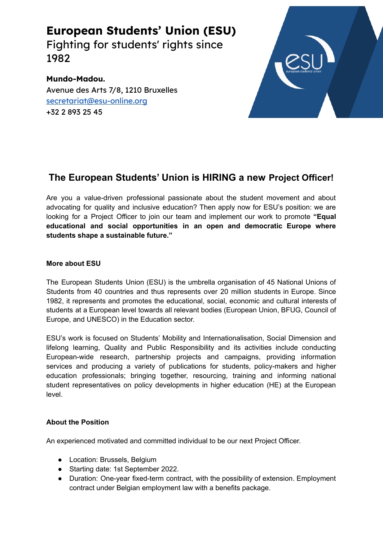**European Students' Union (ESU)** Fighting for students' rights since 1982

**Mundo-Madou.** Avenue des Arts 7/8, 1210 Bruxelles [secretariat@esu-online.org](mailto:secretariat@esu-online.org) +32 2 893 25 45



# **The European Students' Union is HIRING a new Project Officer!**

Are you a value-driven professional passionate about the student movement and about advocating for quality and inclusive education? Then apply now for ESU's position: we are looking for a Project Officer to join our team and implement our work to promote **"Equal educational and social opportunities in an open and democratic Europe where students shape a sustainable future."**

## **More about ESU**

The European Students Union (ESU) is the umbrella organisation of 45 National Unions of Students from 40 countries and thus represents over 20 million students in Europe. Since 1982, it represents and promotes the educational, social, economic and cultural interests of students at a European level towards all relevant bodies (European Union, BFUG, Council of Europe, and UNESCO) in the Education sector.

ESU's work is focused on Students' Mobility and Internationalisation, Social Dimension and lifelong learning, Quality and Public Responsibility and its activities include conducting European-wide research, partnership projects and campaigns, providing information services and producing a variety of publications for students, policy-makers and higher education professionals; bringing together, resourcing, training and informing national student representatives on policy developments in higher education (HE) at the European level.

## **About the Position**

An experienced motivated and committed individual to be our next Project Officer.

- Location: Brussels, Belgium
- Starting date: 1st September 2022.
- Duration: One-year fixed-term contract, with the possibility of extension. Employment contract under Belgian employment law with a benefits package.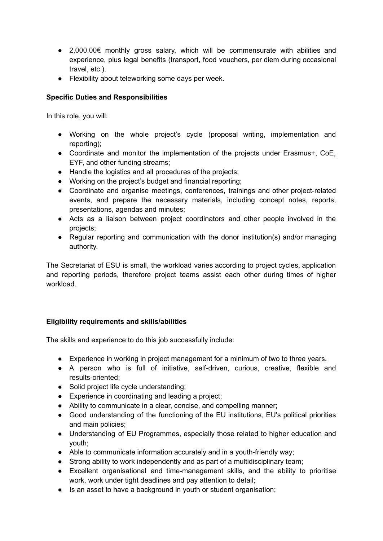- 2,000.00€ monthly gross salary, which will be commensurate with abilities and experience, plus legal benefits (transport, food vouchers, per diem during occasional travel, etc.).
- Flexibility about teleworking some days per week.

## **Specific Duties and Responsibilities**

In this role, you will:

- Working on the whole project's cycle (proposal writing, implementation and reporting);
- Coordinate and monitor the implementation of the projects under Erasmus+, CoE, EYF, and other funding streams;
- Handle the logistics and all procedures of the projects;
- Working on the project's budget and financial reporting;
- Coordinate and organise meetings, conferences, trainings and other project-related events, and prepare the necessary materials, including concept notes, reports, presentations, agendas and minutes;
- Acts as a liaison between project coordinators and other people involved in the projects;
- Regular reporting and communication with the donor institution(s) and/or managing authority.

The Secretariat of ESU is small, the workload varies according to project cycles, application and reporting periods, therefore project teams assist each other during times of higher workload.

## **Eligibility requirements and skills/abilities**

The skills and experience to do this job successfully include:

- Experience in working in project management for a minimum of two to three years.
- A person who is full of initiative, self-driven, curious, creative, flexible and results-oriented;
- Solid project life cycle understanding;
- Experience in coordinating and leading a project;
- Ability to communicate in a clear, concise, and compelling manner;
- Good understanding of the functioning of the EU institutions, EU's political priorities and main policies;
- Understanding of EU Programmes, especially those related to higher education and youth;
- Able to communicate information accurately and in a youth-friendly way;
- Strong ability to work independently and as part of a multidisciplinary team;
- Excellent organisational and time-management skills, and the ability to prioritise work, work under tight deadlines and pay attention to detail;
- Is an asset to have a background in youth or student organisation;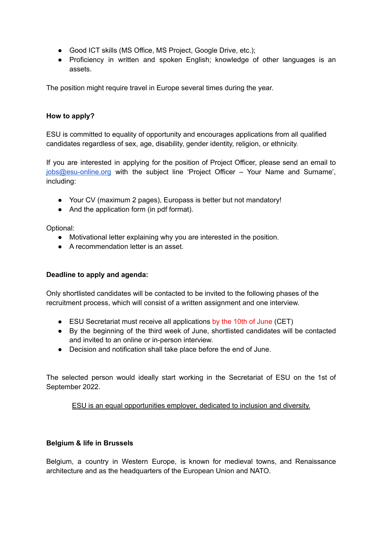- Good ICT skills (MS Office, MS Project, Google Drive, etc.);
- Proficiency in written and spoken English; knowledge of other languages is an assets.

The position might require travel in Europe several times during the year.

## **How to apply?**

ESU is committed to equality of opportunity and encourages applications from all qualified candidates regardless of sex, age, disability, gender identity, religion, or ethnicity.

If you are interested in applying for the position of Project Officer, please send an email to [jobs@esu-online.org](mailto:jobs@esu-online.org) with the subject line 'Project Officer – Your Name and Surname', including:

- Your CV (maximum 2 pages), Europass is better but not mandatory!
- And the application form (in pdf format).

Optional:

- Motivational letter explaining why you are interested in the position.
- A recommendation letter is an asset.

## **Deadline to apply and agenda:**

Only shortlisted candidates will be contacted to be invited to the following phases of the recruitment process, which will consist of a written assignment and one interview.

- ESU Secretariat must receive all applications by the 10th of June (CET)
- By the beginning of the third week of June, shortlisted candidates will be contacted and invited to an online or in-person interview.
- Decision and notification shall take place before the end of June.

The selected person would ideally start working in the Secretariat of ESU on the 1st of September 2022.

ESU is an equal opportunities employer, dedicated to inclusion and diversity.

## **Belgium & life in Brussels**

Belgium, a country in Western Europe, is known for medieval towns, and Renaissance architecture and as the headquarters of the European Union and NATO.